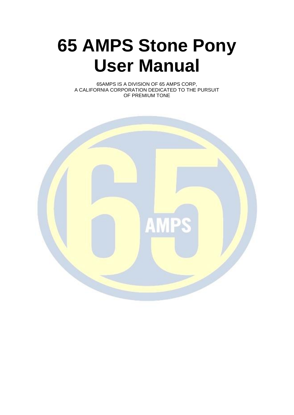# **65 AMPS Stone Pony User Manual**

65AMPS IS A DIVISION OF 65 AMPS CORP, A CALIFORNIA CORPORATION DEDICATED TO THE PURSUIT OF PREMIUM TONE

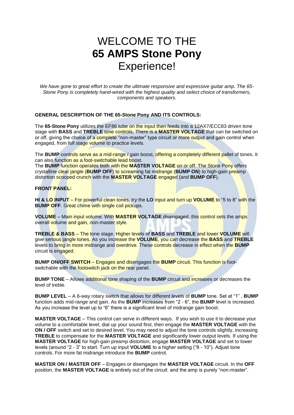# WELCOME TO THE **65 AMPS Stone Pony** Experience!

*We have gone to great effort to create the ultimate responsive and expressive guitar amp. The 65- Stone Pony is completely hand-wired with the highest quality and select choice of transformers, components and speakers.*

#### **GENERAL DESCRIPTION OF THE 65-Stone Pony AND ITS CONTROLS:**

The **65-Stone Pony** utilizes the EF86 tube on the input then feeds into a 12AX7/ECC83 driven tone stage with **BASS** and **TREBLE** tone controls. There is a **MASTER VOLTAGE** that can be switched on or off, giving the choice of a complete "non-master" type circuit or more output and gain control when engaged, from full stage volume to practice levels.

The **BUMP** controls serve as a mid-range / gain boost, offering a completely different pallet of tones. It can also function as a foot-switchable lead boost.

The **BUMP** function operates both with the **MASTER VOLTAGE** on or off. The Stone Pony offers crystalline clear jangle (**BUMP OFF**) to screaming fat midrange (**BUMP ON**) to high-gain preamp distortion scooped crunch with the **MASTER VOLTAGE** engaged (and **BUMP OFF**).

#### **FRONT PANEL:**

**HI & LO INPUT** – For powerful clean tones, try the **LO** input and turn up **VOLUME** to "5 to 8" with the **BUMP OFF.** Great chime with single coil pickups.

**VOLUME** – Main input volume. With **MASTER VOLTAGE** disengaged, this control sets the amps overall volume and gain, non-master style.

**TREBLE & BASS** – The tone stage. Higher levels of **BASS** and **TREBLE** and lower **VOLUME** will give serious jangle tones. As you increase the **VOLUME**, you can decrease the **BASS** and **TREBLE** levels to bring in more midrange and overdrive. These controls decrease in effect when the **BUMP** circuit is engaged.

**BUMP ON/OFF SWITCH** – Engages and disengages the **BUMP** circuit. This function is footswitchable with the footswitch jack on the rear panel.

**BUMP TONE** – Allows additional tone shaping of the **BUMP** circuit and increases or decreases the level of treble.

**BUMP LEVEL** – A 6-way rotary switch that allows for different levels of **BUMP** tone. Set at "1" , **BUMP** function adds mid-range and gain. As the **BUMP** increases from "2 - 6", the **BUMP** level is increased. As you increase the level up to "6" there is a significant level of midrange gain boost.

**MASTER VOLTAGE** – This control can serve in different ways. If you wish to use it to decrease your volume to a comfortable level, dial up your sound first, then engage the **MASTER VOLTAGE** with the **ON / OFF** switch and set to desired level. You may need to adjust the tone controls slightly, increasing **TREBLE** to compensate for the **MASTER VOLTAGE** and significantly lower output levels. If using the **MASTER VOLTAGE** for high-gain preamp distortion, engage **MASTER VOLTAGE** and set to lower levels (around "2 - 3" to start. Turn up input **VOLUME** to a higher setting ("8 - 10"). Adjust tone controls. For more fat midrange introduce the **BUMP** control.

**MASTER ON / MASTER OFF** – Engages or disengages the **MASTER VOLTAGE** circuit. In the **OFF** position, the **MASTER VOLTAGE** is entirely out of the circuit and the amp is purely "non-master".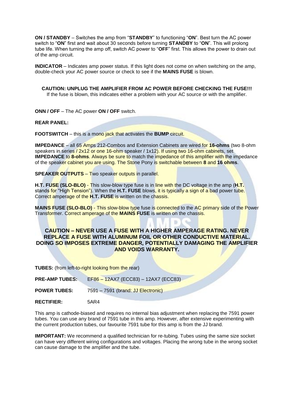**ON / STANDBY** – Switches the amp from "**STANDBY**" to functioning "**ON**". Best turn the AC power switch to "**ON**" first and wait about 30 seconds before turning **STANDBY** to "**ON**". This will prolong tube life. When turning the amp off, switch AC power to "**OFF**" first. This allows the power to drain out of the amp circuit.

**INDICATOR** – Indicates amp power status. If this light does not come on when switching on the amp, double-check your AC power source or check to see if the **MAINS FUSE** is blown.

**CAUTION: UNPLUG THE AMPLIFIER FROM AC POWER BEFORE CHECKING THE FUSE!!!** If the fuse is blown, this indicates either a problem with your AC source or with the amplifier.

**ONN / OFF** – The AC power **ON / OFF** switch.

**REAR PANEL:**

**FOOTSWITCH** – this is a mono jack that activates the **BUMP** circuit.

**IMPEDANCE** – all 65 Amps 212-Combos and Extension Cabinets are wired for **16-ohms** (two 8-ohm speakers in series / 2x12 or one 16-ohm speaker / 1x12). If using two 16-ohm cabinets, set **IMPEDANCE** to **8-ohms**. Always be sure to match the impedance of this amplifier with the impedance of the speaker cabinet you are using. The Stone Pony is switchable between **8** and **16 ohms**.

**SPEAKER OUTPUTS** – Two speaker outputs in parallel.

**H.T. FUSE (SLO-BLO)** - This slow-blow type fuse is in line with the DC voltage in the amp (**H.T.** stands for "High Tension"). When the **H.T. FUSE** blows, it is typically a sign of a bad power tube. Correct amperage of the **H.T. FUSE** is written on the chassis.

**MAINS FUSE (SLO-BLO)** - This slow-blow type fuse is connected to the AC primary side of the Power Transformer. Correct amperage of the **MAINS FUSE** is written on the chassis.

#### **CAUTION – NEVER USE A FUSE WITH A HIGHER AMPERAGE RATING. NEVER REPLACE A FUSE WITH ALUMINUM FOIL OR OTHER CONDUCTIVE MATERIAL. DOING SO IMPOSES EXTREME DANGER, POTENTIALLY DAMAGING THE AMPLIFIER AND VOIDS WARRANTY.**

**TUBES:** (from left-to-right looking from the rear)

| <b>PRE-AMP TUBES:</b> | EF86 - 12AX7 (ECC83) - 12AX7 (ECC83) |
|-----------------------|--------------------------------------|
| <b>POWER TUBES:</b>   | 7591 – 7591 (brand: JJ Electronic)   |
| <b>RECTIFIER:</b>     | 5AR4                                 |

This amp is cathode-biased and requires no internal bias adjustment when replacing the 7591 power tubes. You can use any brand of 7591 tube in this amp. However, after extensive experimenting with the current production tubes, our favourite 7591 tube for this amp is from the JJ brand.

**IMPORTANT:** We recommend a qualified technician for re-tubing. Tubes using the same size socket can have very different wiring configurations and voltages. Placing the wrong tube in the wrong socket can cause damage to the amplifier and the tube.